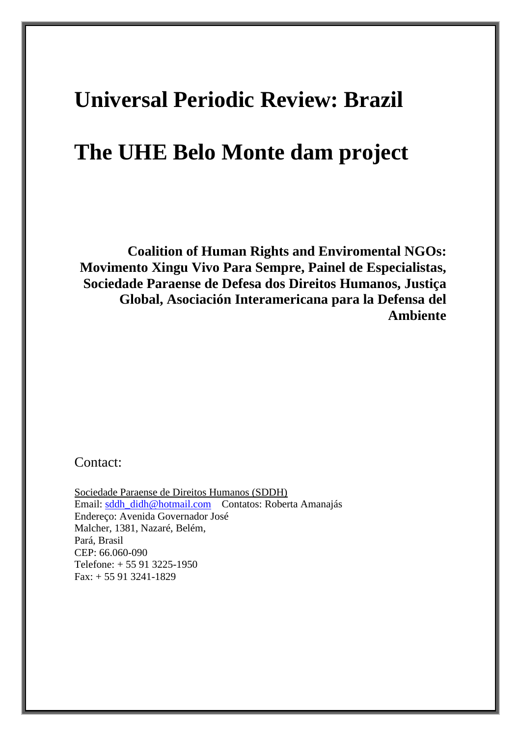# **Universal Periodic Review: Brazil**

# **The UHE Belo Monte dam project**

**Coalition of Human Rights and Enviromental NGOs: Movimento Xingu Vivo Para Sempre, Painel de Especialistas, Sociedade Paraense de Defesa dos Direitos Humanos, Justiça Global, Asociación Interamericana para la Defensa del Ambiente**

Contact:

Sociedade Paraense de Direitos Humanos (SDDH) Email: [sddh\\_didh@hotmail.com](mailto:sddh_didh@hotmail.com) Contatos: Roberta Amanajás Endereço: Avenida Governador José Malcher, 1381, Nazaré, Belém, Pará, Brasil CEP: 66.060-090 Telefone: + 55 91 3225-1950 Fax: + 55 91 3241-1829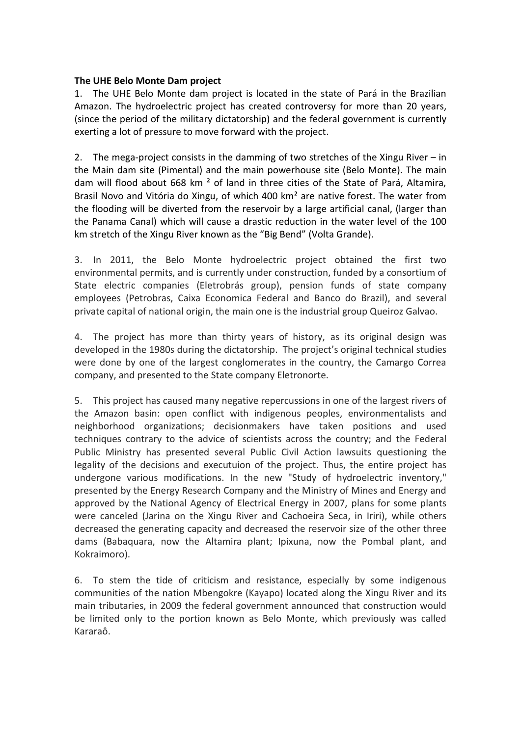#### **The UHE Belo Monte Dam project**

1. The UHE Belo Monte dam project is located in the state of Pará in the Brazilian Amazon. The hydroelectric project has created controversy for more than 20 years, (since the period of the military dictatorship) and the federal government is currently exerting a lot of pressure to move forward with the project.

2. The mega-project consists in the damming of two stretches of the Xingu River – in the Main dam site (Pimental) and the main powerhouse site (Belo Monte). The main dam will flood about 668 km ² of land in three cities of the State of Pará, Altamira, Brasil Novo and Vitória do Xingu, of which 400 km<sup>2</sup> are native forest. The water from the flooding will be diverted from the reservoir by a large artificial canal, (larger than the Panama Canal) which will cause a drastic reduction in the water level of the 100 km stretch of the Xingu River known as the "Big Bend" (Volta Grande).

3. In 2011, the Belo Monte hydroelectric project obtained the first two environmental permits, and is currently under construction, funded by a consortium of State electric companies (Eletrobrás group), pension funds of state company employees (Petrobras, Caixa Economica Federal and Banco do Brazil), and several private capital of national origin, the main one is the industrial group Queiroz Galvao.

4. The project has more than thirty years of history, as its original design was developed in the 1980s during the dictatorship. The project's original technical studies were done by one of the largest conglomerates in the country, the Camargo Correa company, and presented to the State company Eletronorte.

5. This project has caused many negative repercussions in one of the largest rivers of the Amazon basin: open conflict with indigenous peoples, environmentalists and neighborhood organizations; decisionmakers have taken positions and used techniques contrary to the advice of scientists across the country; and the Federal Public Ministry has presented several Public Civil Action lawsuits questioning the legality of the decisions and executuion of the project. Thus, the entire project has undergone various modifications. In the new "Study of hydroelectric inventory," presented by the Energy Research Company and the Ministry of Mines and Energy and approved by the National Agency of Electrical Energy in 2007, plans for some plants were canceled (Jarina on the Xingu River and Cachoeira Seca, in Iriri), while others decreased the generating capacity and decreased the reservoir size of the other three dams (Babaquara, now the Altamira plant; Ipixuna, now the Pombal plant, and Kokraimoro).

6. To stem the tide of criticism and resistance, especially by some indigenous communities of the nation Mbengokre (Kayapo) located along the Xingu River and its main tributaries, in 2009 the federal government announced that construction would be limited only to the portion known as Belo Monte, which previously was called Kararaô.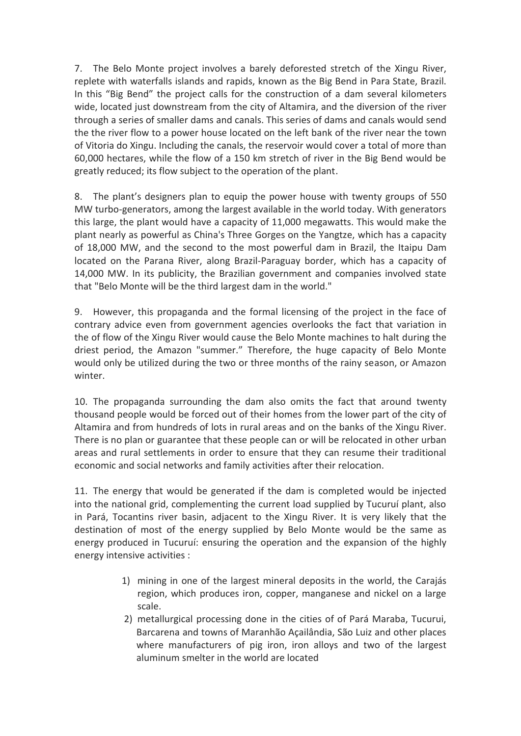7. The Belo Monte project involves a barely deforested stretch of the Xingu River, replete with waterfalls islands and rapids, known as the Big Bend in Para State, Brazil. In this "Big Bend" the project calls for the construction of a dam several kilometers wide, located just downstream from the city of Altamira, and the diversion of the river through a series of smaller dams and canals. This series of dams and canals would send the the river flow to a power house located on the left bank of the river near the town of Vitoria do Xingu. Including the canals, the reservoir would cover a total of more than 60,000 hectares, while the flow of a 150 km stretch of river in the Big Bend would be greatly reduced; its flow subject to the operation of the plant.

8. The plant's designers plan to equip the power house with twenty groups of 550 MW turbo-generators, among the largest available in the world today. With generators this large, the plant would have a capacity of 11,000 megawatts. This would make the plant nearly as powerful as China's Three Gorges on the Yangtze, which has a capacity of 18,000 MW, and the second to the most powerful dam in Brazil, the Itaipu Dam located on the Parana River, along Brazil-Paraguay border, which has a capacity of 14,000 MW. In its publicity, the Brazilian government and companies involved state that "Belo Monte will be the third largest dam in the world."

9. However, this propaganda and the formal licensing of the project in the face of contrary advice even from government agencies overlooks the fact that variation in the of flow of the Xingu River would cause the Belo Monte machines to halt during the driest period, the Amazon "summer." Therefore, the huge capacity of Belo Monte would only be utilized during the two or three months of the rainy season, or Amazon winter.

10. The propaganda surrounding the dam also omits the fact that around twenty thousand people would be forced out of their homes from the lower part of the city of Altamira and from hundreds of lots in rural areas and on the banks of the Xingu River. There is no plan or guarantee that these people can or will be relocated in other urban areas and rural settlements in order to ensure that they can resume their traditional economic and social networks and family activities after their relocation.

11. The energy that would be generated if the dam is completed would be injected into the national grid, complementing the current load supplied by Tucuruí plant, also in Pará, Tocantins river basin, adjacent to the Xingu River. It is very likely that the destination of most of the energy supplied by Belo Monte would be the same as energy produced in Tucuruí: ensuring the operation and the expansion of the highly energy intensive activities :

- 1) mining in one of the largest mineral deposits in the world, the Carajás region, which produces iron, copper, manganese and nickel on a large scale.
- 2) metallurgical processing done in the cities of of Pará Maraba, Tucurui, Barcarena and towns of Maranhão Açailândia, São Luiz and other places where manufacturers of pig iron, iron alloys and two of the largest aluminum smelter in the world are located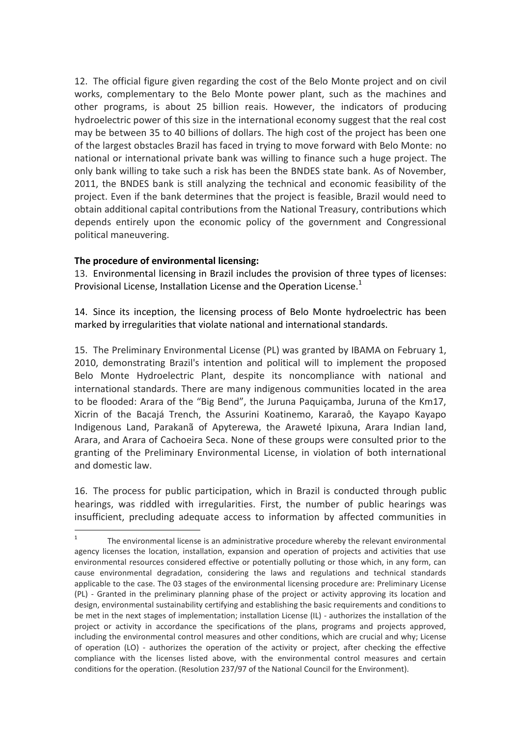12. The official figure given regarding the cost of the Belo Monte project and on civil works, complementary to the Belo Monte power plant, such as the machines and other programs, is about 25 billion reais. However, the indicators of producing hydroelectric power of this size in the international economy suggest that the real cost may be between 35 to 40 billions of dollars. The high cost of the project has been one of the largest obstacles Brazil has faced in trying to move forward with Belo Monte: no national or international private bank was willing to finance such a huge project. The only bank willing to take such a risk has been the BNDES state bank. As of November, 2011, the BNDES bank is still analyzing the technical and economic feasibility of the project. Even if the bank determines that the project is feasible, Brazil would need to obtain additional capital contributions from the National Treasury, contributions which depends entirely upon the economic policy of the government and Congressional political maneuvering.

#### **The procedure of environmental licensing:**

<u>.</u>

13. Environmental licensing in Brazil includes the provision of three types of licenses: Provisional License, Installation License and the Operation License. $1$ 

14. Since its inception, the licensing process of Belo Monte hydroelectric has been marked by irregularities that violate national and international standards.

15. The Preliminary Environmental License (PL) was granted by IBAMA on February 1, 2010, demonstrating Brazil's intention and political will to implement the proposed Belo Monte Hydroelectric Plant, despite its noncompliance with national and international standards. There are many indigenous communities located in the area to be flooded: Arara of the "Big Bend", the Juruna Paquiçamba, Juruna of the Km17, Xicrin of the Bacajá Trench, the Assurini Koatinemo, Kararaô, the Kayapo Kayapo Indigenous Land, Parakanã of Apyterewa, the Araweté Ipixuna, Arara Indian land, Arara, and Arara of Cachoeira Seca. None of these groups were consulted prior to the granting of the Preliminary Environmental License, in violation of both international and domestic law.

16. The process for public participation, which in Brazil is conducted through public hearings, was riddled with irregularities. First, the number of public hearings was insufficient, precluding adequate access to information by affected communities in

<sup>1</sup> The environmental license is an administrative procedure whereby the relevant environmental agency licenses the location, installation, expansion and operation of projects and activities that use environmental resources considered effective or potentially polluting or those which, in any form, can cause environmental degradation, considering the laws and regulations and technical standards applicable to the case. The 03 stages of the environmental licensing procedure are: Preliminary License (PL) - Granted in the preliminary planning phase of the project or activity approving its location and design, environmental sustainability certifying and establishing the basic requirements and conditions to be met in the next stages of implementation; installation License (IL) - authorizes the installation of the project or activity in accordance the specifications of the plans, programs and projects approved, including the environmental control measures and other conditions, which are crucial and why; License of operation (LO) - authorizes the operation of the activity or project, after checking the effective compliance with the licenses listed above, with the environmental control measures and certain conditions for the operation. (Resolution 237/97 of the National Council for the Environment).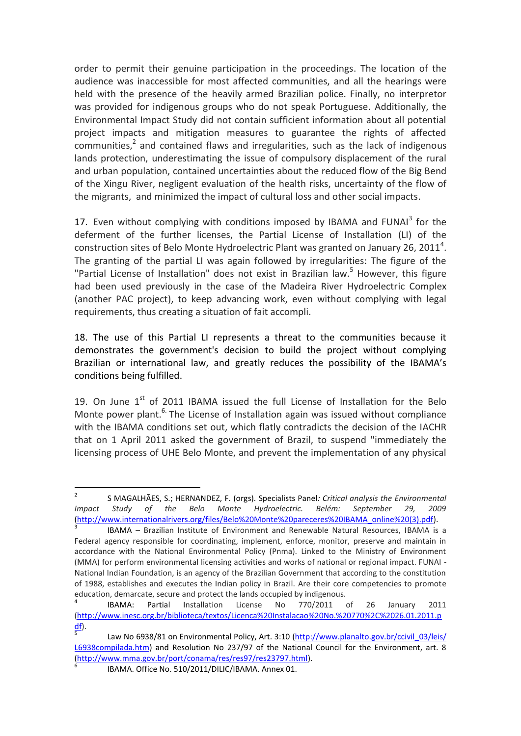order to permit their genuine participation in the proceedings. The location of the audience was inaccessible for most affected communities, and all the hearings were held with the presence of the heavily armed Brazilian police. Finally, no interpretor was provided for indigenous groups who do not speak Portuguese. Additionally, the Environmental Impact Study did not contain sufficient information about all potential project impacts and mitigation measures to guarantee the rights of affected communities, $^2$  and contained flaws and irregularities, such as the lack of indigenous lands protection, underestimating the issue of compulsory displacement of the rural and urban population, contained uncertainties about the reduced flow of the Big Bend of the Xingu River, negligent evaluation of the health risks, uncertainty of the flow of the migrants, and minimized the impact of cultural loss and other social impacts.

17. Even without complying with conditions imposed by IBAMA and FUNAI<sup>3</sup> for the deferment of the further licenses, the Partial License of Installation (LI) of the construction sites of Belo Monte Hydroelectric Plant was granted on January 26, 2011<sup>4</sup>. The granting of the partial LI was again followed by irregularities: The figure of the "Partial License of Installation" does not exist in Brazilian law.<sup>5</sup> However, this figure had been used previously in the case of the Madeira River Hydroelectric Complex (another PAC project), to keep advancing work, even without complying with legal requirements, thus creating a situation of fait accompli.

18. The use of this Partial LI represents a threat to the communities because it demonstrates the government's decision to build the project without complying Brazilian or international law, and greatly reduces the possibility of the IBAMA's conditions being fulfilled.

19. On June  $1<sup>st</sup>$  of 2011 IBAMA issued the full License of Installation for the Belo Monte power plant.<sup>6.</sup> The License of Installation again was issued without compliance with the IBAMA conditions set out, which flatly contradicts the decision of the IACHR that on 1 April 2011 asked the government of Brazil, to suspend "immediately the licensing process of UHE Belo Monte, and prevent the implementation of any physical

<sup>2</sup> S MAGALHÃES, S.; HERNANDEZ, F. (orgs). Specialists Panel*: Critical analysis the Environmental Impact Study of the Belo Monte Hydroelectric. Belém: September 29, 2009* [\(http://www.internationalrivers.org/files/Belo%20Monte%20pareceres%20IBAMA\\_online%20\(3\).pdf\)](http://www.internationalrivers.org/files/Belo%20Monte%20pareceres%20IBAMA_online%20(3).pdf).

<sup>3</sup> IBAMA – Brazilian Institute of Environment and Renewable Natural Resources, IBAMA is a Federal agency responsible for coordinating, implement, enforce, monitor, preserve and maintain in accordance with the National Environmental Policy (Pnma). Linked to the Ministry of Environment (MMA) for perform environmental licensing activities and works of national or regional impact. FUNAI - National Indian Foundation, is an agency of the Brazilian Government that according to the constitution of 1988, establishes and executes the Indian policy in Brazil. Are their core competencies to promote education, demarcate, secure and protect the lands occupied by indigenous.

<sup>4</sup> IBAMA: Partial Installation License No 770/2011 of 26 January 2011 [\(http://www.inesc.org.br/biblioteca/textos/Licenca%20Instalacao%20No.%20770%2C%2026.01.2011.p](http://www.inesc.org.br/biblioteca/textos/Licenca%20Instalacao%20No.%20770%2C%2026.01.2011.pdf) [df\)](http://www.inesc.org.br/biblioteca/textos/Licenca%20Instalacao%20No.%20770%2C%2026.01.2011.pdf). 5

Law No 6938/81 on Environmental Policy, Art. 3:10 (http://www.planalto.gov.br/ccivil\_03/leis/ [L6938compilada.htm\)](http://www.planalto.gov.br/ccivil_03/leis/%20L6938compilada.htm) and Resolution No 237/97 of the National Council for the Environment, art. 8 [\(http://www.mma.gov.br/port/conama/res/res97/res23797.html\)](http://www.mma.gov.br/port/conama/res/res97/res23797.html). 6

IBAMA. Office No. 510/2011/DILIC/IBAMA. Annex 01.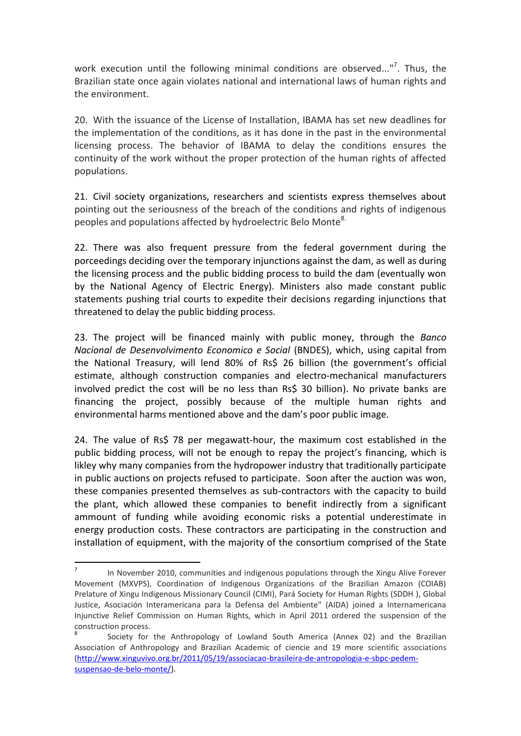work execution until the following minimal conditions are observed..."<sup>7</sup>. Thus, the Brazilian state once again violates national and international laws of human rights and the environment.

20. With the issuance of the License of Installation, IBAMA has set new deadlines for the implementation of the conditions, as it has done in the past in the environmental licensing process. The behavior of IBAMA to delay the conditions ensures the continuity of the work without the proper protection of the human rights of affected populations.

21. Civil society organizations, researchers and scientists express themselves about pointing out the seriousness of the breach of the conditions and rights of indigenous peoples and populations affected by hydroelectric Belo Monte<sup>8.</sup>

22. There was also frequent pressure from the federal government during the porceedings deciding over the temporary injunctions against the dam, as well as during the licensing process and the public bidding process to build the dam (eventually won by the National Agency of Electric Energy). Ministers also made constant public statements pushing trial courts to expedite their decisions regarding injunctions that threatened to delay the public bidding process.

23. The project will be financed mainly with public money, through the *Banco Nacional de Desenvolvimento Economico e Social* (BNDES), which, using capital from the National Treasury, will lend 80% of Rs\$ 26 billion (the government's official estimate, although construction companies and electro-mechanical manufacturers involved predict the cost will be no less than Rs\$ 30 billion). No private banks are financing the project, possibly because of the multiple human rights and environmental harms mentioned above and the dam's poor public image.

24. The value of Rs\$ 78 per megawatt-hour, the maximum cost established in the public bidding process, will not be enough to repay the project's financing, which is likley why many companies from the hydropower industry that traditionally participate in public auctions on projects refused to participate. Soon after the auction was won, these companies presented themselves as sub-contractors with the capacity to build the plant, which allowed these companies to benefit indirectly from a significant ammount of funding while avoiding economic risks a potential underestimate in energy production costs. These contractors are participating in the construction and installation of equipment, with the majority of the consortium comprised of the State

<sup>7</sup> In November 2010, communities and indigenous populations through the Xingu Alive Forever Movement (MXVPS), Coordination of Indigenous Organizations of the Brazilian Amazon (COIAB) Prelature of Xingu Indigenous Missionary Council (CIMI), Pará Society for Human Rights (SDDH ), Global Justice, Asociación Interamericana para la Defensa del Ambiente" (AIDA) joined a Internamericana Injunctive Relief Commission on Human Rights, which in April 2011 ordered the suspension of the construction process.

<sup>8</sup> Society for the Anthropology of Lowland South America (Annex 02) and the Brazilian Association of Anthropology and Brazilian Academic of ciencie and 19 more scientific associations [\(http://www.xinguvivo.org.br/2011/05/19/associacao-brasileira-de-antropologia-e-sbpc-pedem](http://www.xinguvivo.org.br/2011/05/19/associacao-brasileira-de-antropologia-e-sbpc-pedem-suspensao-de-belo-monte/)[suspensao-de-belo-monte/\)](http://www.xinguvivo.org.br/2011/05/19/associacao-brasileira-de-antropologia-e-sbpc-pedem-suspensao-de-belo-monte/).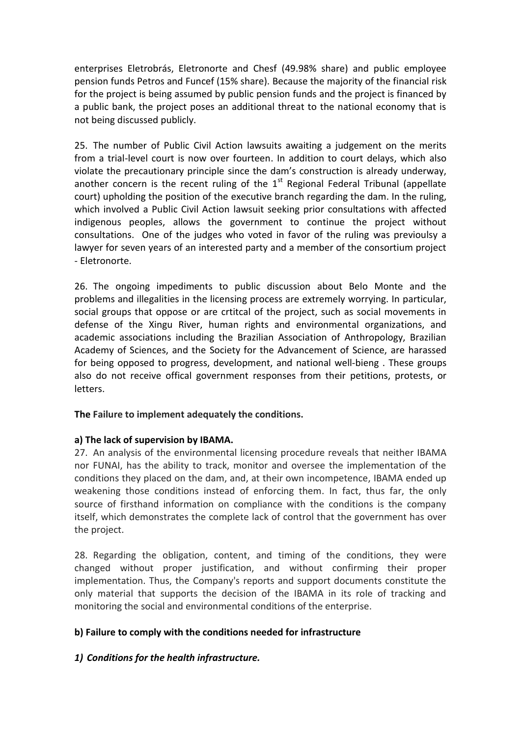enterprises Eletrobrás, Eletronorte and Chesf (49.98% share) and public employee pension funds Petros and Funcef (15% share). Because the majority of the financial risk for the project is being assumed by public pension funds and the project is financed by a public bank, the project poses an additional threat to the national economy that is not being discussed publicly.

25. The number of Public Civil Action lawsuits awaiting a judgement on the merits from a trial-level court is now over fourteen. In addition to court delays, which also violate the precautionary principle since the dam's construction is already underway, another concern is the recent ruling of the  $1<sup>st</sup>$  Regional Federal Tribunal (appellate court) upholding the position of the executive branch regarding the dam. In the ruling, which involved a Public Civil Action lawsuit seeking prior consultations with affected indigenous peoples, allows the government to continue the project without consultations. One of the judges who voted in favor of the ruling was previoulsy a lawyer for seven years of an interested party and a member of the consortium project - Eletronorte.

26. The ongoing impediments to public discussion about Belo Monte and the problems and illegalities in the licensing process are extremely worrying. In particular, social groups that oppose or are crtitcal of the project, such as social movements in defense of the Xingu River, human rights and environmental organizations, and academic associations including the Brazilian Association of Anthropology, Brazilian Academy of Sciences, and the Society for the Advancement of Science, are harassed for being opposed to progress, development, and national well-bieng . These groups also do not receive offical government responses from their petitions, protests, or letters.

#### **The Failure to implement adequately the conditions.**

#### **a) The lack of supervision by IBAMA.**

27. An analysis of the environmental licensing procedure reveals that neither IBAMA nor FUNAI, has the ability to track, monitor and oversee the implementation of the conditions they placed on the dam, and, at their own incompetence, IBAMA ended up weakening those conditions instead of enforcing them. In fact, thus far, the only source of firsthand information on compliance with the conditions is the company itself, which demonstrates the complete lack of control that the government has over the project.

28. Regarding the obligation, content, and timing of the conditions, they were changed without proper justification, and without confirming their proper implementation. Thus, the Company's reports and support documents constitute the only material that supports the decision of the IBAMA in its role of tracking and monitoring the social and environmental conditions of the enterprise.

#### **b) Failure to comply with the conditions needed for infrastructure**

#### *1) Conditions for the health infrastructure.*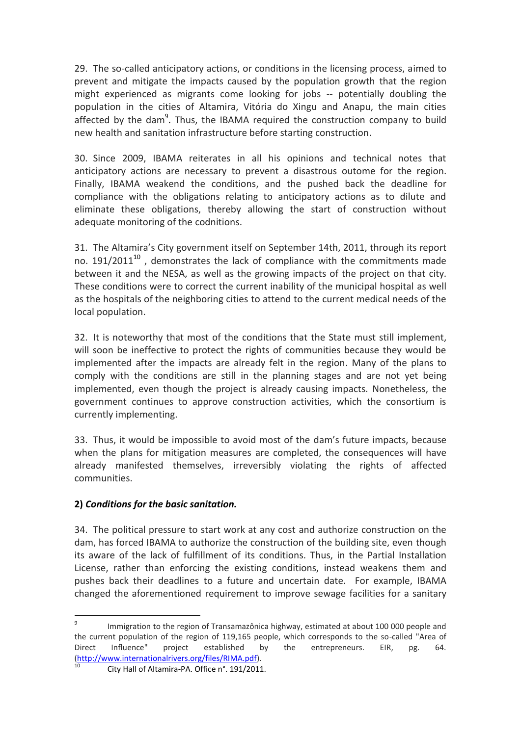29. The so-called anticipatory actions, or conditions in the licensing process, aimed to prevent and mitigate the impacts caused by the population growth that the region might experienced as migrants come looking for jobs -- potentially doubling the population in the cities of Altamira, Vitória do Xingu and Anapu, the main cities affected by the dam<sup>9</sup>. Thus, the IBAMA required the construction company to build new health and sanitation infrastructure before starting construction.

30. Since 2009, IBAMA reiterates in all his opinions and technical notes that anticipatory actions are necessary to prevent a disastrous outome for the region. Finally, IBAMA weakend the conditions, and the pushed back the deadline for compliance with the obligations relating to anticipatory actions as to dilute and eliminate these obligations, thereby allowing the start of construction without adequate monitoring of the codnitions.

31. The Altamira's City government itself on September 14th, 2011, through its report no.  $191/2011^{10}$  , demonstrates the lack of compliance with the commitments made between it and the NESA, as well as the growing impacts of the project on that city. These conditions were to correct the current inability of the municipal hospital as well as the hospitals of the neighboring cities to attend to the current medical needs of the local population.

32. It is noteworthy that most of the conditions that the State must still implement, will soon be ineffective to protect the rights of communities because they would be implemented after the impacts are already felt in the region. Many of the plans to comply with the conditions are still in the planning stages and are not yet being implemented, even though the project is already causing impacts. Nonetheless, the government continues to approve construction activities, which the consortium is currently implementing.

33. Thus, it would be impossible to avoid most of the dam's future impacts, because when the plans for mitigation measures are completed, the consequences will have already manifested themselves, irreversibly violating the rights of affected communities.

## **2)** *Conditions for the basic sanitation.*

1

34. The political pressure to start work at any cost and authorize construction on the dam, has forced IBAMA to authorize the construction of the building site, even though its aware of the lack of fulfillment of its conditions. Thus, in the Partial Installation License, rather than enforcing the existing conditions, instead weakens them and pushes back their deadlines to a future and uncertain date. For example, IBAMA changed the aforementioned requirement to improve sewage facilities for a sanitary

<sup>9</sup> Immigration to the region of Transamazônica highway, estimated at about 100 000 people and the current population of the region of 119,165 people, which corresponds to the so-called "Area of Direct Influence" project established by the entrepreneurs. EIR, pg. 64. [\(http://www.internationalrivers.org/files/RIMA.pdf\)](http://www.internationalrivers.org/files/RIMA.pdf).

<sup>10</sup> City Hall of Altamira-PA. Office n°. 191/2011.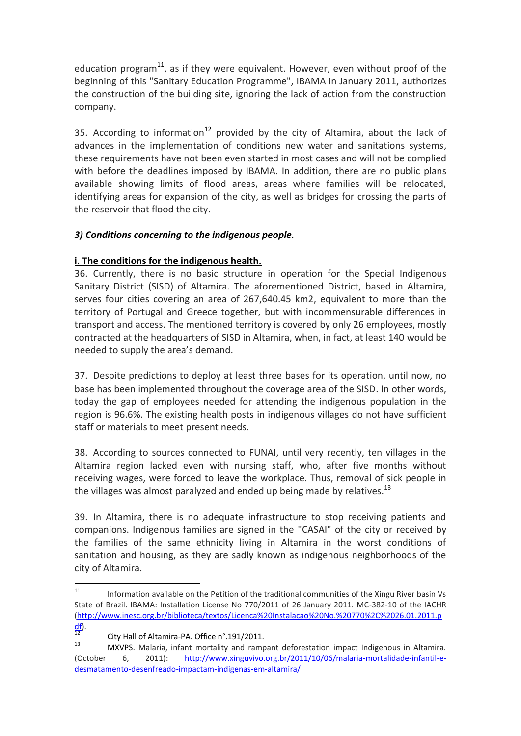education program<sup>11</sup>, as if they were equivalent. However, even without proof of the beginning of this "Sanitary Education Programme", IBAMA in January 2011, authorizes the construction of the building site, ignoring the lack of action from the construction company.

35. According to information<sup>12</sup> provided by the city of Altamira, about the lack of advances in the implementation of conditions new water and sanitations systems, these requirements have not been even started in most cases and will not be complied with before the deadlines imposed by IBAMA. In addition, there are no public plans available showing limits of flood areas, areas where families will be relocated, identifying areas for expansion of the city, as well as bridges for crossing the parts of the reservoir that flood the city.

#### *3) Conditions concerning to the indigenous people.*

#### **i. The conditions for the indigenous health.**

36. Currently, there is no basic structure in operation for the Special Indigenous Sanitary District (SISD) of Altamira. The aforementioned District, based in Altamira, serves four cities covering an area of 267,640.45 km2, equivalent to more than the territory of Portugal and Greece together, but with incommensurable differences in transport and access. The mentioned territory is covered by only 26 employees, mostly contracted at the headquarters of SISD in Altamira, when, in fact, at least 140 would be needed to supply the area's demand.

37. Despite predictions to deploy at least three bases for its operation, until now, no base has been implemented throughout the coverage area of the SISD. In other words, today the gap of employees needed for attending the indigenous population in the region is 96.6%. The existing health posts in indigenous villages do not have sufficient staff or materials to meet present needs.

38. According to sources connected to FUNAI, until very recently, ten villages in the Altamira region lacked even with nursing staff, who, after five months without receiving wages, were forced to leave the workplace. Thus, removal of sick people in the villages was almost paralyzed and ended up being made by relatives.<sup>13</sup>

39. In Altamira, there is no adequate infrastructure to stop receiving patients and companions. Indigenous families are signed in the "CASAI" of the city or received by the families of the same ethnicity living in Altamira in the worst conditions of sanitation and housing, as they are sadly known as indigenous neighborhoods of the city of Altamira.

 $11$ <sup>11</sup> Information available on the Petition of the traditional communities of the Xingu River basin Vs State of Brazil. IBAMA: Installation License No 770/2011 of 26 January 2011. MC-382-10 of the IACHR [\(http://www.inesc.org.br/biblioteca/textos/Licenca%20Instalacao%20No.%20770%2C%2026.01.2011.p](http://www.inesc.org.br/biblioteca/textos/Licenca%20Instalacao%20No.%20770%2C%2026.01.2011.pdf)  $\frac{df}{12}$ .

<sup>&</sup>lt;sup>12</sup> City Hall of Altamira-PA. Office  $n^{\circ}$ .191/2011.

<sup>13</sup> MXVPS. Malaria, infant mortality and rampant deforestation impact Indigenous in Altamira. (October 6, 2011): [http://www.xinguvivo.org.br/2011/10/06/malaria-mortalidade-infantil-e](http://www.xinguvivo.org.br/2011/10/06/malaria-mortalidade-infantil-e-desmatamento-desenfreado-impactam-indigenas-em-altamira/)[desmatamento-desenfreado-impactam-indigenas-em-altamira/](http://www.xinguvivo.org.br/2011/10/06/malaria-mortalidade-infantil-e-desmatamento-desenfreado-impactam-indigenas-em-altamira/)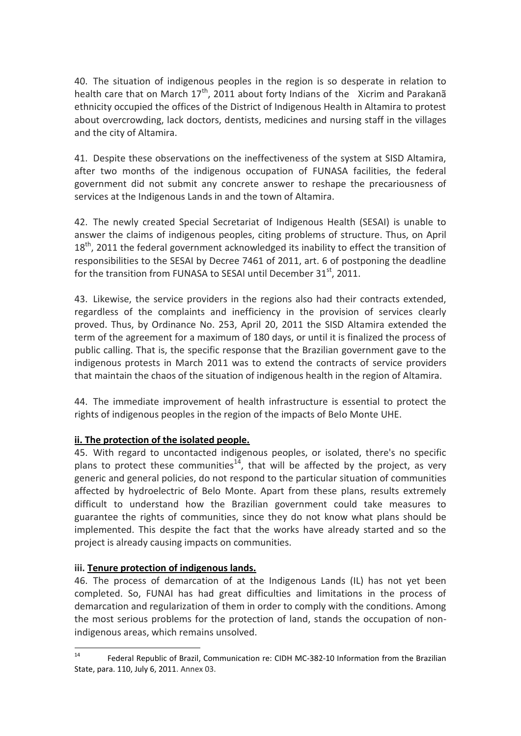40. The situation of indigenous peoples in the region is so desperate in relation to health care that on March  $17<sup>th</sup>$ , 2011 about forty Indians of the Xicrim and Parakana ethnicity occupied the offices of the District of Indigenous Health in Altamira to protest about overcrowding, lack doctors, dentists, medicines and nursing staff in the villages and the city of Altamira.

41. Despite these observations on the ineffectiveness of the system at SISD Altamira, after two months of the indigenous occupation of FUNASA facilities, the federal government did not submit any concrete answer to reshape the precariousness of services at the Indigenous Lands in and the town of Altamira.

42. The newly created Special Secretariat of Indigenous Health (SESAI) is unable to answer the claims of indigenous peoples, citing problems of structure. Thus, on April  $18<sup>th</sup>$ , 2011 the federal government acknowledged its inability to effect the transition of responsibilities to the SESAI by Decree 7461 of 2011, art. 6 of postponing the deadline for the transition from FUNASA to SESAI until December  $31<sup>st</sup>$ , 2011.

43. Likewise, the service providers in the regions also had their contracts extended, regardless of the complaints and inefficiency in the provision of services clearly proved. Thus, by Ordinance No. 253, April 20, 2011 the SISD Altamira extended the term of the agreement for a maximum of 180 days, or until it is finalized the process of public calling. That is, the specific response that the Brazilian government gave to the indigenous protests in March 2011 was to extend the contracts of service providers that maintain the chaos of the situation of indigenous health in the region of Altamira.

44. The immediate improvement of health infrastructure is essential to protect the rights of indigenous peoples in the region of the impacts of Belo Monte UHE.

## **ii. The protection of the isolated people.**

45. With regard to uncontacted indigenous peoples, or isolated, there's no specific plans to protect these communities<sup>14</sup>, that will be affected by the project, as very generic and general policies, do not respond to the particular situation of communities affected by hydroelectric of Belo Monte. Apart from these plans, results extremely difficult to understand how the Brazilian government could take measures to guarantee the rights of communities, since they do not know what plans should be implemented. This despite the fact that the works have already started and so the project is already causing impacts on communities.

#### **iii. Tenure protection of indigenous lands.**

46. The process of demarcation of at the Indigenous Lands (IL) has not yet been completed. So, FUNAI has had great difficulties and limitations in the process of demarcation and regularization of them in order to comply with the conditions. Among the most serious problems for the protection of land, stands the occupation of nonindigenous areas, which remains unsolved.

 $14$ Federal Republic of Brazil, Communication re: CIDH MC-382-10 Information from the Brazilian State, para. 110, July 6, 2011. Annex 03.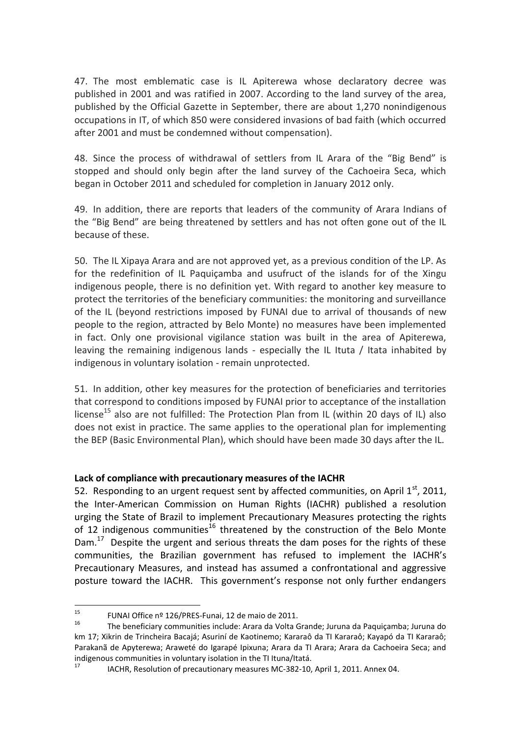47. The most emblematic case is IL Apiterewa whose declaratory decree was published in 2001 and was ratified in 2007. According to the land survey of the area, published by the Official Gazette in September, there are about 1,270 nonindigenous occupations in IT, of which 850 were considered invasions of bad faith (which occurred after 2001 and must be condemned without compensation).

48. Since the process of withdrawal of settlers from IL Arara of the "Big Bend" is stopped and should only begin after the land survey of the Cachoeira Seca, which began in October 2011 and scheduled for completion in January 2012 only.

49. In addition, there are reports that leaders of the community of Arara Indians of the "Big Bend" are being threatened by settlers and has not often gone out of the IL because of these.

50. The IL Xipaya Arara and are not approved yet, as a previous condition of the LP. As for the redefinition of IL Paquiçamba and usufruct of the islands for of the Xingu indigenous people, there is no definition yet. With regard to another key measure to protect the territories of the beneficiary communities: the monitoring and surveillance of the IL (beyond restrictions imposed by FUNAI due to arrival of thousands of new people to the region, attracted by Belo Monte) no measures have been implemented in fact. Only one provisional vigilance station was built in the area of Apiterewa, leaving the remaining indigenous lands - especially the IL Ituta / Itata inhabited by indigenous in voluntary isolation - remain unprotected.

51. In addition, other key measures for the protection of beneficiaries and territories that correspond to conditions imposed by FUNAI prior to acceptance of the installation license<sup>15</sup> also are not fulfilled: The Protection Plan from IL (within 20 days of IL) also does not exist in practice. The same applies to the operational plan for implementing the BEP (Basic Environmental Plan), which should have been made 30 days after the IL.

#### **Lack of compliance with precautionary measures of the IACHR**

52. Responding to an urgent request sent by affected communities, on April  $1<sup>st</sup>$ , 2011, the Inter-American Commission on Human Rights (IACHR) published a resolution urging the State of Brazil to implement Precautionary Measures protecting the rights of 12 indigenous communities<sup>16</sup> threatened by the construction of the Belo Monte Dam.<sup>17</sup> Despite the urgent and serious threats the dam poses for the rights of these communities, the Brazilian government has refused to implement the IACHR's Precautionary Measures, and instead has assumed a confrontational and aggressive posture toward the IACHR. This government's response not only further endangers

 $15$ <sup>15</sup> FUNAI Office nº 126/PRES-Funai, 12 de maio de 2011.

<sup>16</sup> The beneficiary communities include: Arara da Volta Grande; Juruna da Paquiçamba; Juruna do km 17; Xikrin de Trincheira Bacajá; Asuriní de Kaotinemo; Kararaô da TI Kararaô; Kayapó da TI Kararaô; Parakanã de Apyterewa; Araweté do Igarapé Ipixuna; Arara da TI Arara; Arara da Cachoeira Seca; and indigenous communities in voluntary isolation in the TI Ituna/Itatá.

IACHR, Resolution of precautionary measures MC-382-10, April 1, 2011. Annex 04.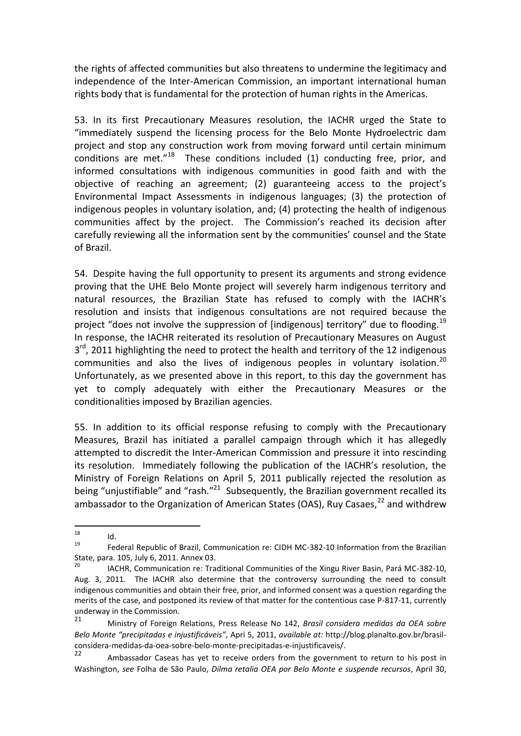the rights of affected communities but also threatens to undermine the legitimacy and independence of the Inter-American Commission, an important international human rights body that is fundamental for the protection of human rights in the Americas.

53. In its first Precautionary Measures resolution, the IACHR urged the State to "immediately suspend the licensing process for the Belo Monte Hydroelectric dam project and stop any construction work from moving forward until certain minimum conditions are met." $^{18}$  These conditions included (1) conducting free, prior, and informed consultations with indigenous communities in good faith and with the objective of reaching an agreement; (2) guaranteeing access to the project's Environmental Impact Assessments in indigenous languages; (3) the protection of indigenous peoples in voluntary isolation, and; (4) protecting the health of indigenous communities affect by the project. The Commission's reached its decision after carefully reviewing all the information sent by the communities' counsel and the State of Brazil.

54. Despite having the full opportunity to present its arguments and strong evidence proving that the UHE Belo Monte project will severely harm indigenous territory and natural resources, the Brazilian State has refused to comply with the IACHR's resolution and insists that indigenous consultations are not required because the project "does not involve the suppression of [indigenous] territory" due to flooding.<sup>19</sup> In response, the IACHR reiterated its resolution of Precautionary Measures on August 3<sup>rd</sup>, 2011 highlighting the need to protect the health and territory of the 12 indigenous communities and also the lives of indigenous peoples in voluntary isolation.<sup>20</sup> Unfortunately, as we presented above in this report, to this day the government has yet to comply adequately with either the Precautionary Measures or the conditionalities imposed by Brazilian agencies.

55. In addition to its official response refusing to comply with the Precautionary Measures, Brazil has initiated a parallel campaign through which it has allegedly attempted to discredit the Inter-American Commission and pressure it into rescinding its resolution. Immediately following the publication of the IACHR's resolution, the Ministry of Foreign Relations on April 5, 2011 publically rejected the resolution as being "unjustifiable" and "rash."<sup>21</sup> Subsequently, the Brazilian government recalled its ambassador to the Organization of American States (OAS), Ruy Casaes,<sup>22</sup> and withdrew

<sup>18</sup>  $18$  Id.

<sup>19</sup> Federal Republic of Brazil, Communication re: CIDH MC-382-10 Information from the Brazilian State, para. 105, July 6, 2011. Annex 03.

<sup>20</sup> IACHR, Communication re: Traditional Communities of the Xingu River Basin, Pará MC-382-10, Aug. 3, 2011. The IACHR also determine that the controversy surrounding the need to consult indigenous communities and obtain their free, prior, and informed consent was a question regarding the merits of the case, and postponed its review of that matter for the contentious case P-817-11, currently underway in the Commission.<br>21 Ministry of Foreign

<sup>21</sup> Ministry of Foreign Relations, Press Release No 142, *Brasil considera medidas da OEA sobre Belo Monte "precipitadas e injustificáveis"*, Apri 5, 2011, *available at:* http://blog.planalto.gov.br/brasilconsidera-medidas-da-oea-sobre-belo-monte-precipitadas-e-injustificaveis/.

Ambassador Caseas has yet to receive orders from the government to return to his post in Washington, *see* Folha de São Paulo, *Dilma retalia OEA por Belo Monte e suspende recursos*, April 30,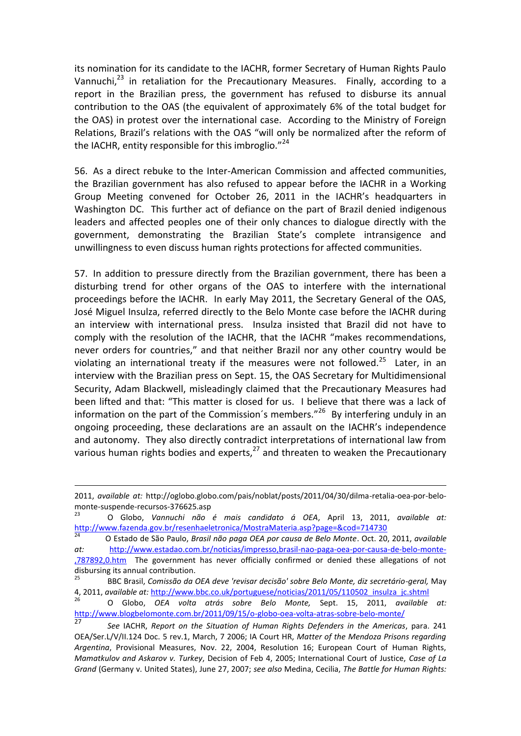its nomination for its candidate to the IACHR, former Secretary of Human Rights Paulo Vannuchi, $^{23}$  in retaliation for the Precautionary Measures. Finally, according to a report in the Brazilian press, the government has refused to disburse its annual contribution to the OAS (the equivalent of approximately 6% of the total budget for the OAS) in protest over the international case. According to the Ministry of Foreign Relations, Brazil's relations with the OAS "will only be normalized after the reform of the IACHR, entity responsible for this imbroglio. $124$ 

56. As a direct rebuke to the Inter-American Commission and affected communities, the Brazilian government has also refused to appear before the IACHR in a Working Group Meeting convened for October 26, 2011 in the IACHR's headquarters in Washington DC. This further act of defiance on the part of Brazil denied indigenous leaders and affected peoples one of their only chances to dialogue directly with the government, demonstrating the Brazilian State's complete intransigence and unwillingness to even discuss human rights protections for affected communities.

57. In addition to pressure directly from the Brazilian government, there has been a disturbing trend for other organs of the OAS to interfere with the international proceedings before the IACHR. In early May 2011, the Secretary General of the OAS, José Miguel Insulza, referred directly to the Belo Monte case before the IACHR during an interview with international press. Insulza insisted that Brazil did not have to comply with the resolution of the IACHR, that the IACHR "makes recommendations, never orders for countries," and that neither Brazil nor any other country would be violating an international treaty if the measures were not followed.<sup>25</sup> Later, in an interview with the Brazilian press on Sept. 15, the OAS Secretary for Multidimensional Security, Adam Blackwell, misleadingly claimed that the Precautionary Measures had been lifted and that: "This matter is closed for us. I believe that there was a lack of information on the part of the Commission's members."<sup>26</sup> By interfering unduly in an ongoing proceeding, these declarations are an assault on the IACHR's independence and autonomy. They also directly contradict interpretations of international law from various human rights bodies and experts, $^{27}$  and threaten to weaken the Precautionary

<sup>2011,</sup> *available at:* http://oglobo.globo.com/pais/noblat/posts/2011/04/30/dilma-retalia-oea-por-belomonte-suspende-recursos-376625.asp

<sup>23</sup> O Globo, *Vannuchi não é mais candidato á OEA*, April 13, 2011, *available at:*  <http://www.fazenda.gov.br/resenhaeletronica/MostraMateria.asp?page=&cod=714730>

<sup>24</sup> O Estado de São Paulo, *Brasil não paga OEA por causa de Belo Monte*. Oct. 20, 2011, *available at:* [http://www.estadao.com.br/noticias/impresso,brasil-nao-paga-oea-por-causa-de-belo-monte-](http://www.estadao.com.br/noticias/impresso,brasil-nao-paga-oea-por-causa-de-belo-monte-,787892,0.htm) [,787892,0.htm](http://www.estadao.com.br/noticias/impresso,brasil-nao-paga-oea-por-causa-de-belo-monte-,787892,0.htm) The government has never officially confirmed or denied these allegations of not disbursing its annual contribution.

<sup>25</sup> BBC Brasil, *Comissão da OEA deve 'revisar decisão' sobre Belo Monte, diz secretário-geral,* May 4, 2011, *available at:* [http://www.bbc.co.uk/portuguese/noticias/2011/05/110502\\_insulza\\_jc.shtml](http://www.bbc.co.uk/portuguese/noticias/2011/05/110502_insulza_jc.shtml)

<sup>26</sup> O Globo, *OEA volta atrás sobre Belo Monte,* Sept. 15, 2011, *available at:*  <http://www.blogbelomonte.com.br/2011/09/15/o-globo-oea-volta-atras-sobre-belo-monte/>

<sup>27</sup> *See* IACHR, *Report on the Situation of Human Rights Defenders in the Americas*, para. 241 OEA/Ser.L/V/II.124 Doc. 5 rev.1, March, 7 2006; IA Court HR, *Matter of the Mendoza Prisons regarding Argentina*, Provisional Measures, Nov. 22, 2004, Resolution 16; European Court of Human Rights, *Mamatkulov and Askarov v. Turkey*, Decision of Feb 4, 2005; International Court of Justice, *Case of La Grand* (Germany v. United States), June 27, 2007; *see also* Medina, Cecilia, *The Battle for Human Rights:*